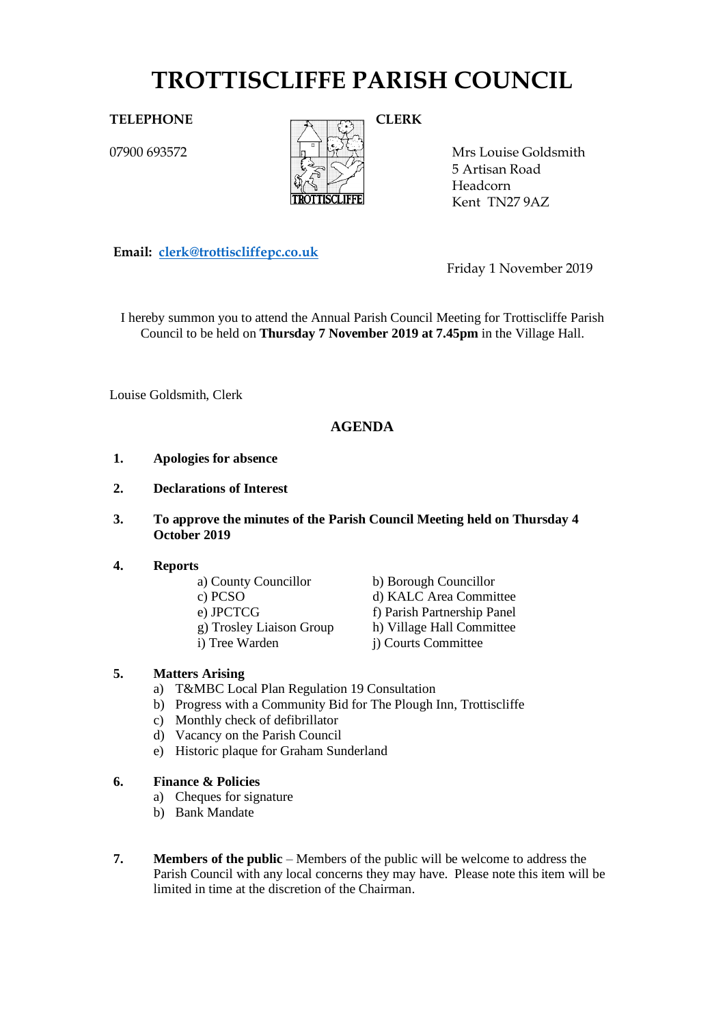# **TROTTISCLIFFE PARISH COUNCIL**

07900 693572



Mrs Louise Goldsmith 5 Artisan Road Headcorn Kent TN27 9AZ

**Email: [clerk@trottiscliffepc.co.uk](mailto:clerk@trottiscliffepc.co.uk)**

Friday 1 November 2019

I hereby summon you to attend the Annual Parish Council Meeting for Trottiscliffe Parish Council to be held on **Thursday 7 November 2019 at 7.45pm** in the Village Hall.

Louise Goldsmith, Clerk

# **AGENDA**

- **1. Apologies for absence**
- **2. Declarations of Interest**
- **3. To approve the minutes of the Parish Council Meeting held on Thursday 4 October 2019**

#### **4. Reports**

- 
- 
- 
- 
- 

a) County Councillor b) Borough Councillor c) PCSO d) KALC Area Committee e) JPCTCG f) Parish Partnership Panel g) Trosley Liaison Group h) Village Hall Committee i) Tree Warden j) Courts Committee

#### **5. Matters Arising**

- a) T&MBC Local Plan Regulation 19 Consultation
- b) Progress with a Community Bid for The Plough Inn, Trottiscliffe
- c) Monthly check of defibrillator
- d) Vacancy on the Parish Council
- e) Historic plaque for Graham Sunderland
- **6. Finance & Policies**
	- a) Cheques for signature
	- b) Bank Mandate
- **7. Members of the public** Members of the public will be welcome to address the Parish Council with any local concerns they may have. Please note this item will be limited in time at the discretion of the Chairman.